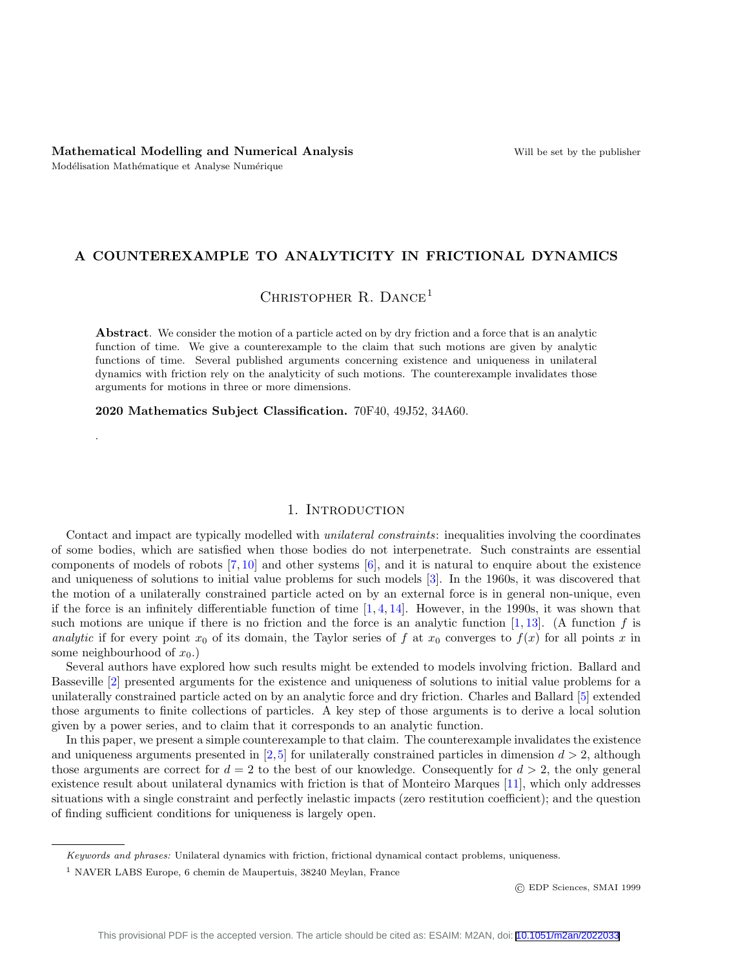.

# A COUNTEREXAMPLE TO ANALYTICITY IN FRICTIONAL DYNAMICS

CHRISTOPHER R. DANCE<sup>1</sup>

Abstract. We consider the motion of a particle acted on by dry friction and a force that is an analytic function of time. We give a counterexample to the claim that such motions are given by analytic functions of time. Several published arguments concerning existence and uniqueness in unilateral dynamics with friction rely on the analyticity of such motions. The counterexample invalidates those arguments for motions in three or more dimensions.

2020 Mathematics Subject Classification. 70F40, 49J52, 34A60.

## 1. INTRODUCTION

Contact and impact are typically modelled with unilateral constraints: inequalities involving the coordinates of some bodies, which are satisfied when those bodies do not interpenetrate. Such constraints are essential components of models of robots [\[7,](#page-12-0) [10\]](#page-12-1) and other systems [\[6\]](#page-12-2), and it is natural to enquire about the existence and uniqueness of solutions to initial value problems for such models [\[3\]](#page-12-3). In the 1960s, it was discovered that the motion of a unilaterally constrained particle acted on by an external force is in general non-unique, even if the force is an infinitely differentiable function of time  $[1, 4, 14]$  $[1, 4, 14]$  $[1, 4, 14]$  $[1, 4, 14]$  $[1, 4, 14]$ . However, in the 1990s, it was shown that such motions are unique if there is no friction and the force is an analytic function  $[1, 13]$  $[1, 13]$  $[1, 13]$ . (A function f is analytic if for every point  $x_0$  of its domain, the Taylor series of f at  $x_0$  converges to  $f(x)$  for all points x in some neighbourhood of  $x_0$ .)

Several authors have explored how such results might be extended to models involving friction. Ballard and Basseville [\[2\]](#page-12-7) presented arguments for the existence and uniqueness of solutions to initial value problems for a unilaterally constrained particle acted on by an analytic force and dry friction. Charles and Ballard [\[5\]](#page-12-8) extended those arguments to finite collections of particles. A key step of those arguments is to derive a local solution given by a power series, and to claim that it corresponds to an analytic function.

In this paper, we present a simple counterexample to that claim. The counterexample invalidates the existence and uniqueness arguments presented in  $[2,5]$  $[2,5]$  for unilaterally constrained particles in dimension  $d > 2$ , although those arguments are correct for  $d = 2$  to the best of our knowledge. Consequently for  $d > 2$ , the only general existence result about unilateral dynamics with friction is that of Monteiro Marques [\[11\]](#page-12-9), which only addresses situations with a single constraint and perfectly inelastic impacts (zero restitution coefficient); and the question of finding sufficient conditions for uniqueness is largely open.

Keywords and phrases: Unilateral dynamics with friction, frictional dynamical contact problems, uniqueness.

<sup>1</sup> NAVER LABS Europe, 6 chemin de Maupertuis, 38240 Meylan, France

<sup>©</sup> EDP Sciences, SMAI 1999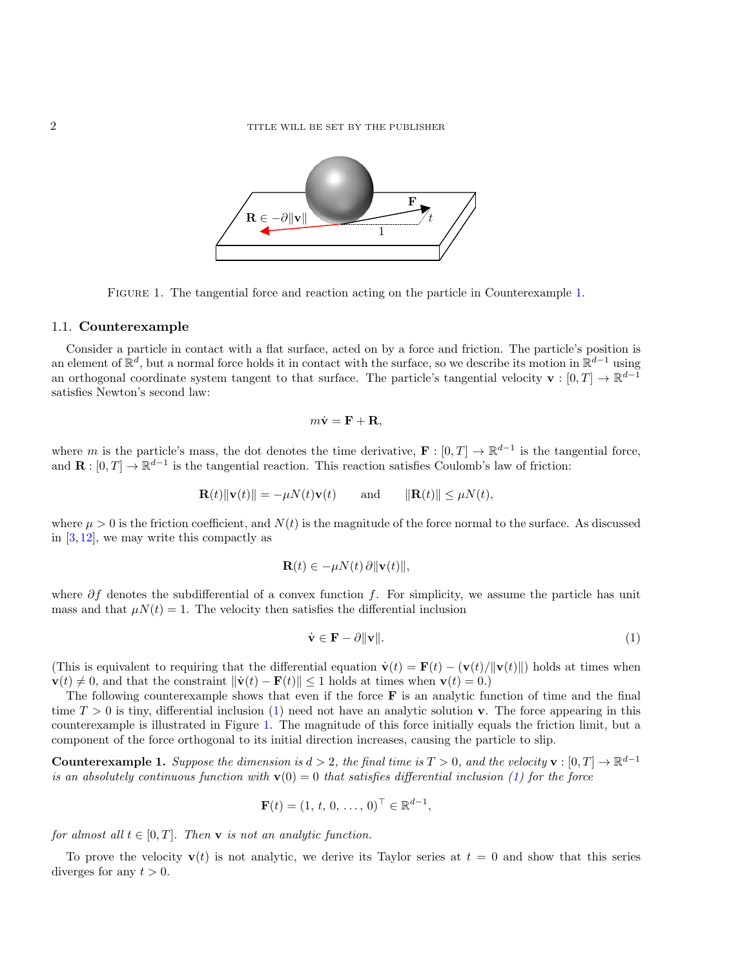

<span id="page-1-2"></span>FIGURE [1.](#page-1-0) The tangential force and reaction acting on the particle in Counterexample 1.

### 1.1. Counterexample

Consider a particle in contact with a flat surface, acted on by a force and friction. The particle's position is an element of  $\mathbb{R}^d$ , but a normal force holds it in contact with the surface, so we describe its motion in  $\mathbb{R}^{d-1}$  using an orthogonal coordinate system tangent to that surface. The particle's tangential velocity  $\mathbf{v} : [0,T] \to \mathbb{R}^{d-1}$ satisfies Newton's second law:

$$
m\dot{\mathbf{v}} = \mathbf{F} + \mathbf{R},
$$

where m is the particle's mass, the dot denotes the time derivative,  $\mathbf{F} : [0, T] \to \mathbb{R}^{d-1}$  is the tangential force, and  $\mathbf{R} : [0, T] \to \mathbb{R}^{d-1}$  is the tangential reaction. This reaction satisfies Coulomb's law of friction:

$$
\mathbf{R}(t) \|\mathbf{v}(t)\| = -\mu N(t)\mathbf{v}(t) \quad \text{and} \quad \|\mathbf{R}(t)\| \le \mu N(t),
$$

where  $\mu > 0$  is the friction coefficient, and  $N(t)$  is the magnitude of the force normal to the surface. As discussed in  $[3, 12]$  $[3, 12]$  $[3, 12]$ , we may write this compactly as

$$
\mathbf{R}(t) \in -\mu N(t) \,\partial \|\mathbf{v}(t)\|,
$$

where  $\partial f$  denotes the subdifferential of a convex function f. For simplicity, we assume the particle has unit mass and that  $\mu N(t) = 1$ . The velocity then satisfies the differential inclusion

<span id="page-1-1"></span>
$$
\dot{\mathbf{v}} \in \mathbf{F} - \partial \|\mathbf{v}\|.\tag{1}
$$

(This is equivalent to requiring that the differential equation  $\dot{\mathbf{v}}(t) = \mathbf{F}(t) - (\mathbf{v}(t)/\|\mathbf{v}(t)\|)$  holds at times when  $\mathbf{v}(t) \neq 0$ , and that the constraint  $\|\dot{\mathbf{v}}(t) - \mathbf{F}(t)\| \leq 1$  holds at times when  $\mathbf{v}(t) = 0$ .)

The following counterexample shows that even if the force  $\bf{F}$  is an analytic function of time and the final time  $T > 0$  is tiny, differential inclusion [\(1\)](#page-1-1) need not have an analytic solution **v**. The force appearing in this counterexample is illustrated in Figure [1.](#page-1-2) The magnitude of this force initially equals the friction limit, but a component of the force orthogonal to its initial direction increases, causing the particle to slip.

<span id="page-1-0"></span>**Counterexample 1.** Suppose the dimension is  $d > 2$ , the final time is  $T > 0$ , and the velocity  $\mathbf{v} : [0, T] \to \mathbb{R}^{d-1}$ is an absolutely continuous function with  $\mathbf{v}(0) = 0$  that satisfies differential inclusion [\(1\)](#page-1-1) for the force

$$
\mathbf{F}(t) = (1, t, 0, \dots, 0)^{\top} \in \mathbb{R}^{d-1},
$$

for almost all  $t \in [0, T]$ . Then **v** is not an analytic function.

To prove the velocity  $\mathbf{v}(t)$  is not analytic, we derive its Taylor series at  $t = 0$  and show that this series diverges for any  $t > 0$ .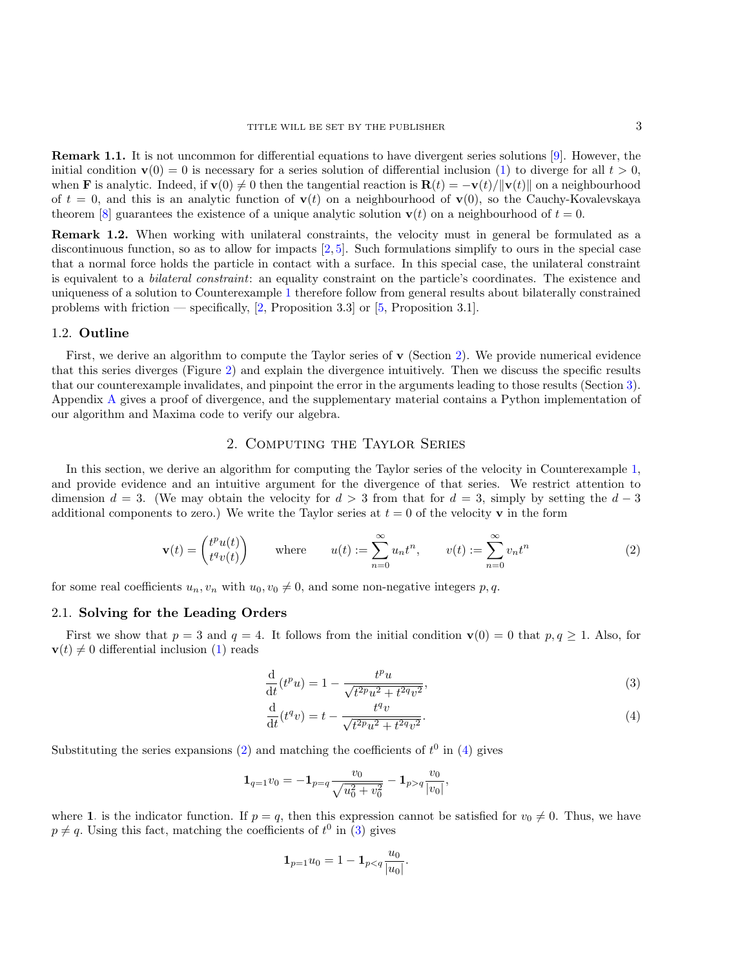Remark 1.1. It is not uncommon for differential equations to have divergent series solutions [\[9\]](#page-12-11). However, the initial condition  $\mathbf{v}(0) = 0$  is necessary for a series solution of differential inclusion [\(1\)](#page-1-1) to diverge for all  $t > 0$ , when **F** is analytic. Indeed, if  $\mathbf{v}(0) \neq 0$  then the tangential reaction is  $\mathbf{R}(t) = -\mathbf{v}(t)/\|\mathbf{v}(t)\|$  on a neighbourhood of  $t = 0$ , and this is an analytic function of  $\mathbf{v}(t)$  on a neighbourhood of  $\mathbf{v}(0)$ , so the Cauchy-Kovalevskaya theorem [\[8\]](#page-12-12) guarantees the existence of a unique analytic solution  $\mathbf{v}(t)$  on a neighbourhood of  $t = 0$ .

Remark 1.2. When working with unilateral constraints, the velocity must in general be formulated as a discontinuous function, so as to allow for impacts  $[2, 5]$  $[2, 5]$  $[2, 5]$ . Such formulations simplify to ours in the special case that a normal force holds the particle in contact with a surface. In this special case, the unilateral constraint is equivalent to a *bilateral constraint*: an equality constraint on the particle's coordinates. The existence and uniqueness of a solution to Counterexample [1](#page-1-0) therefore follow from general results about bilaterally constrained problems with friction — specifically, [\[2,](#page-12-7) Proposition 3.3] or [\[5,](#page-12-8) Proposition 3.1].

### 1.2. Outline

First, we derive an algorithm to compute the Taylor series of  $\bf{v}$  (Section [2\)](#page-2-0). We provide numerical evidence that this series diverges (Figure [2\)](#page-5-0) and explain the divergence intuitively. Then we discuss the specific results that our counterexample invalidates, and pinpoint the error in the arguments leading to those results (Section [3\)](#page-6-0). Appendix [A](#page-6-1) gives a proof of divergence, and the supplementary material contains a Python implementation of our algorithm and Maxima code to verify our algebra.

# 2. Computing the Taylor Series

<span id="page-2-0"></span>In this section, we derive an algorithm for computing the Taylor series of the velocity in Counterexample [1,](#page-1-0) and provide evidence and an intuitive argument for the divergence of that series. We restrict attention to dimension  $d = 3$ . (We may obtain the velocity for  $d > 3$  from that for  $d = 3$ , simply by setting the  $d - 3$ additional components to zero.) We write the Taylor series at  $t = 0$  of the velocity v in the form

$$
\mathbf{v}(t) = \begin{pmatrix} t^p u(t) \\ t^q v(t) \end{pmatrix} \quad \text{where} \quad u(t) := \sum_{n=0}^{\infty} u_n t^n, \quad v(t) := \sum_{n=0}^{\infty} v_n t^n \tag{2}
$$

for some real coefficients  $u_n, v_n$  with  $u_0, v_0 \neq 0$ , and some non-negative integers p, q.

### 2.1. Solving for the Leading Orders

First we show that  $p = 3$  and  $q = 4$ . It follows from the initial condition  $\mathbf{v}(0) = 0$  that  $p, q \ge 1$ . Also, for  $\mathbf{v}(t) \neq 0$  differential inclusion [\(1\)](#page-1-1) reads

<span id="page-2-3"></span><span id="page-2-1"></span>
$$
\frac{\mathrm{d}}{\mathrm{d}t}(t^p u) = 1 - \frac{t^p u}{\sqrt{t^{2p} u^2 + t^{2q} v^2}},\tag{3}
$$

<span id="page-2-2"></span>
$$
\frac{\mathrm{d}}{\mathrm{d}t}(t^q v) = t - \frac{t^q v}{\sqrt{t^{2p} u^2 + t^{2q} v^2}}.\tag{4}
$$

Substituting the series expansions [\(2\)](#page-2-1) and matching the coefficients of  $t^0$  in [\(4\)](#page-2-2) gives

$$
\mathbf{1}_{q=1} v_0 = -\mathbf{1}_{p=q} \frac{v_0}{\sqrt{u_0^2 + v_0^2}} - \mathbf{1}_{p>q} \frac{v_0}{|v_0|},
$$

where 1. is the indicator function. If  $p = q$ , then this expression cannot be satisfied for  $v_0 \neq 0$ . Thus, we have  $p \neq q$ . Using this fact, matching the coefficients of  $t^0$  in [\(3\)](#page-2-3) gives

$$
\mathbf{1}_{p=1}u_0 = 1 - \mathbf{1}_{p < q} \frac{u_0}{|u_0|}.
$$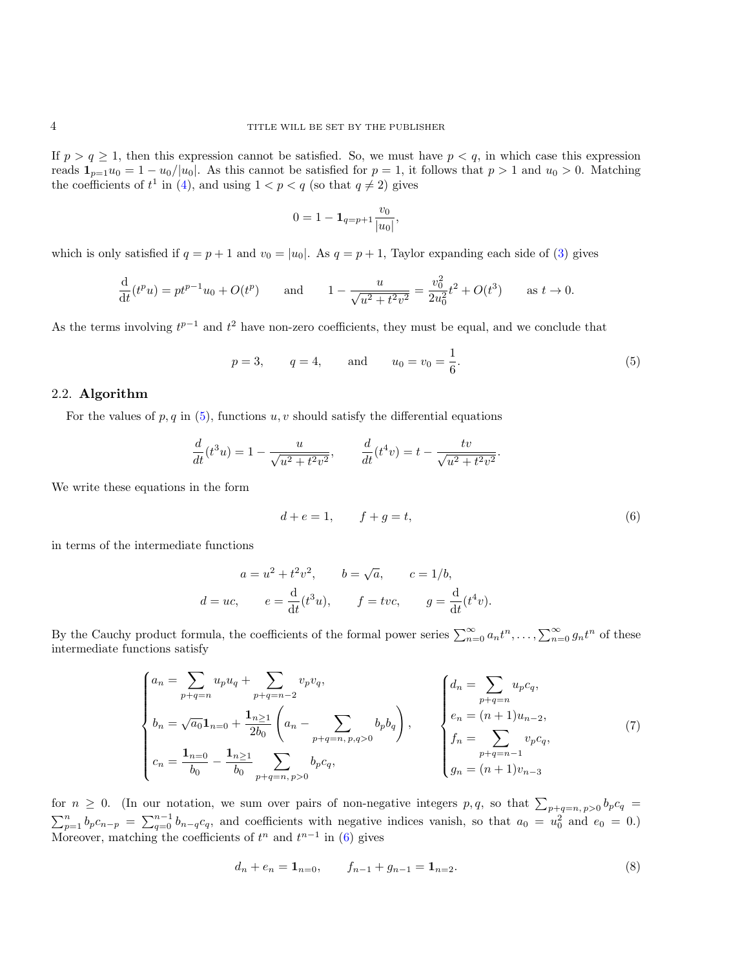If  $p > q \ge 1$ , then this expression cannot be satisfied. So, we must have  $p < q$ , in which case this expression reads  $1_{p=1}u_0 = 1 - u_0/|u_0|$ . As this cannot be satisfied for  $p = 1$ , it follows that  $p > 1$  and  $u_0 > 0$ . Matching the coefficients of  $t^1$  in [\(4\)](#page-2-2), and using  $1 < p < q$  (so that  $q \neq 2$ ) gives

$$
0 = 1 - \mathbf{1}_{q=p+1} \frac{v_0}{|u_0|},
$$

which is only satisfied if  $q = p + 1$  and  $v_0 = |u_0|$ . As  $q = p + 1$ , Taylor expanding each side of [\(3\)](#page-2-3) gives

$$
\frac{\mathrm{d}}{\mathrm{d}t}(t^p u) = pt^{p-1}u_0 + O(t^p) \quad \text{and} \quad 1 - \frac{u}{\sqrt{u^2 + t^2 v^2}} = \frac{v_0^2}{2u_0^2}t^2 + O(t^3) \quad \text{as } t \to 0.
$$

As the terms involving  $t^{p-1}$  and  $t^2$  have non-zero coefficients, they must be equal, and we conclude that

$$
p = 3,
$$
  $q = 4,$  and  $u_0 = v_0 = \frac{1}{6}.$  (5)

### 2.2. Algorithm

For the values of  $p, q$  in [\(5\)](#page-3-0), functions  $u, v$  should satisfy the differential equations

$$
\frac{d}{dt}(t^3u) = 1 - \frac{u}{\sqrt{u^2 + t^2v^2}}, \qquad \frac{d}{dt}(t^4v) = t - \frac{tv}{\sqrt{u^2 + t^2v^2}}
$$

We write these equations in the form

$$
d + e = 1, \qquad f + g = t,\tag{6}
$$

<span id="page-3-2"></span><span id="page-3-1"></span><span id="page-3-0"></span>.

in terms of the intermediate functions

$$
a = u^2 + t^2 v^2
$$
,  $b = \sqrt{a}$ ,  $c = 1/b$ ,  
\n $d = uc$ ,  $e = \frac{d}{dt}(t^3 u)$ ,  $f = tvc$ ,  $g = \frac{d}{dt}(t^4 v)$ .

By the Cauchy product formula, the coefficients of the formal power series  $\sum_{n=0}^{\infty} a_n t^n, \ldots, \sum_{n=0}^{\infty} g_n t^n$  of these intermediate functions satisfy

$$
\begin{cases}\na_n = \sum_{p+q=n} u_p u_q + \sum_{p+q=n-2} v_p v_q, \\
b_n = \sqrt{a_0} \mathbf{1}_{n=0} + \frac{\mathbf{1}_{n\geq 1}}{2b_0} \left( a_n - \sum_{p+q=n, p, q>0} b_p b_q \right), \\
c_n = \frac{\mathbf{1}_{n=0}}{b_0} - \frac{\mathbf{1}_{n\geq 1}}{b_0} \sum_{p+q=n, p>0} b_p c_q, \\
f_n = \sum_{p+q=n-1} v_p c_q,\n\end{cases}\n\begin{cases}\nd_n = \sum_{p+q=n} u_p c_q, \\
e_n = (n+1)u_{n-2}, \\
f_n = \sum_{p+q=n-1} v_p c_q,\n\end{cases}\n\tag{7}
$$

for  $n \geq 0$ . (In our notation, we sum over pairs of non-negative integers p, q, so that  $\sum_{p+q=n, p>0} b_p c_q =$  $\sum_{p=1}^{n} b_p c_{n-p} = \sum_{q=0}^{n-1} b_{n-q} c_q$ , and coefficients with negative indices vanish, so that  $a_0 = u_0^2$  and  $e_0 = 0$ .) Moreover, matching the coefficients of  $t^n$  and  $t^{n-1}$  in [\(6\)](#page-3-1) gives

<span id="page-3-3"></span>
$$
d_n + e_n = \mathbf{1}_{n=0}, \qquad f_{n-1} + g_{n-1} = \mathbf{1}_{n=2}.
$$
 (8)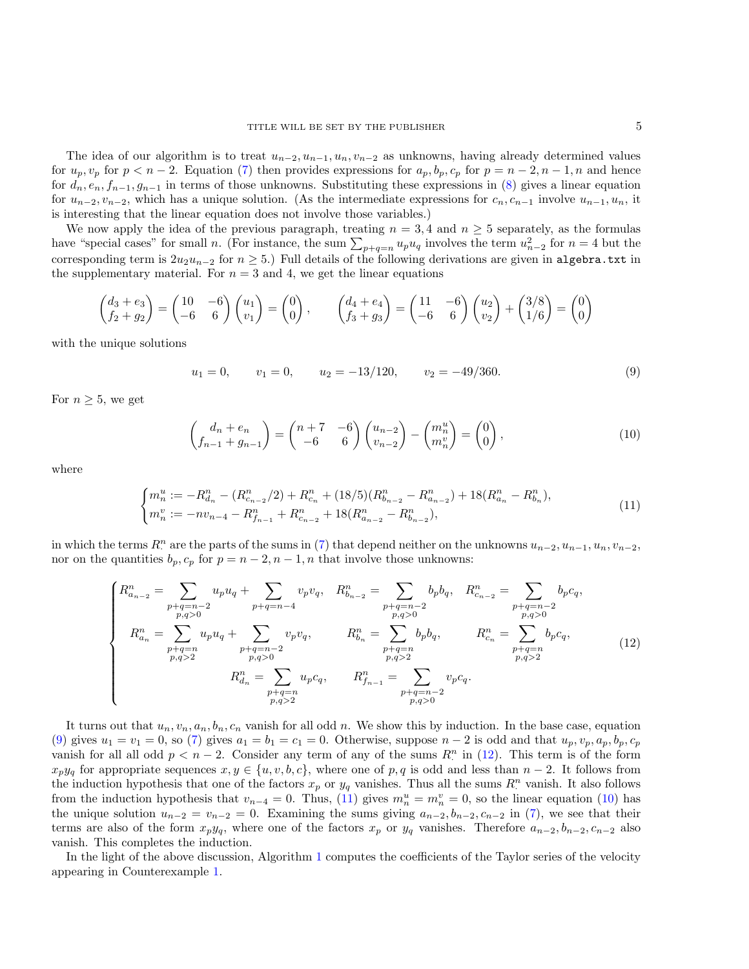The idea of our algorithm is to treat  $u_{n-2}, u_{n-1}, u_n, v_{n-2}$  as unknowns, having already determined values for  $u_p, v_p$  for  $p < n-2$ . Equation [\(7\)](#page-3-2) then provides expressions for  $a_p, b_p, c_p$  for  $p = n-2, n-1, n$  and hence for  $d_n, e_n, f_{n-1}, g_{n-1}$  in terms of those unknowns. Substituting these expressions in [\(8\)](#page-3-3) gives a linear equation for  $u_{n-2}, v_{n-2}$ , which has a unique solution. (As the intermediate expressions for  $c_n, c_{n-1}$  involve  $u_{n-1}, u_n$ , it is interesting that the linear equation does not involve those variables.)

We now apply the idea of the previous paragraph, treating  $n = 3, 4$  and  $n \geq 5$  separately, as the formulas have "special cases" for small n. (For instance, the sum  $\sum_{p+q=n} u_p u_q$  involves the term  $u_{n-2}^2$  for  $n=4$  but the corresponding term is  $2u_2u_{n-2}$  for  $n \geq 5$ .) Full details of the following derivations are given in algebra.txt in the supplementary material. For  $n = 3$  and 4, we get the linear equations

$$
\begin{pmatrix} d_3 + e_3 \ f_2 + g_2 \end{pmatrix} = \begin{pmatrix} 10 & -6 \ -6 & 6 \end{pmatrix} \begin{pmatrix} u_1 \ v_1 \end{pmatrix} = \begin{pmatrix} 0 \ 0 \end{pmatrix}, \qquad \begin{pmatrix} d_4 + e_4 \ f_3 + g_3 \end{pmatrix} = \begin{pmatrix} 11 & -6 \ -6 & 6 \end{pmatrix} \begin{pmatrix} u_2 \ v_2 \end{pmatrix} + \begin{pmatrix} 3/8 \ 1/6 \end{pmatrix} = \begin{pmatrix} 0 \ 0 \end{pmatrix}
$$

with the unique solutions

<span id="page-4-0"></span>
$$
u_1 = 0,
$$
  $v_1 = 0,$   $u_2 = -13/120,$   $v_2 = -49/360.$  (9)

For  $n \geq 5$ , we get

<span id="page-4-3"></span><span id="page-4-2"></span><span id="page-4-1"></span>
$$
\begin{pmatrix} d_n + e_n \\ f_{n-1} + g_{n-1} \end{pmatrix} = \begin{pmatrix} n+7 & -6 \\ -6 & 6 \end{pmatrix} \begin{pmatrix} u_{n-2} \\ v_{n-2} \end{pmatrix} - \begin{pmatrix} m_n^u \\ m_n^v \end{pmatrix} = \begin{pmatrix} 0 \\ 0 \end{pmatrix},
$$
\n(10)

where

$$
\begin{cases} m_n^u := -R_{d_n}^n - (R_{c_{n-2}}^n/2) + R_{c_n}^n + (18/5)(R_{b_{n-2}}^n - R_{a_{n-2}}^n) + 18(R_{a_n}^n - R_{b_n}^n), \\ m_n^v := -nv_{n-4} - R_{f_{n-1}}^n + R_{c_{n-2}}^n + 18(R_{a_{n-2}}^n - R_{b_{n-2}}^n), \end{cases} \tag{11}
$$

in which the terms  $R^n$  are the parts of the sums in [\(7\)](#page-3-2) that depend neither on the unknowns  $u_{n-2}, u_{n-1}, u_n, v_{n-2}$ , nor on the quantities  $b_p, c_p$  for  $p = n - 2, n - 1, n$  that involve those unknowns:

$$
\begin{cases}\nR_{a_{n-2}}^n = \sum_{\substack{p+q=n-2\\p,q>0}} u_p u_q + \sum_{\substack{p+q=n-4\\p,q>0}} v_p v_q, & R_{b_{n-2}}^n = \sum_{\substack{p+q=n-2\\p,q>0}} b_p b_q, & R_{c_{n-2}}^n = \sum_{\substack{p+q=n-2\\p,q>0}} b_p c_q, \\
R_{a_n}^n = \sum_{\substack{p+q=n\\p,q>2\\p,q>2}} u_p u_q + \sum_{\substack{p+q=n-2\\p,q>0\\p,q>0}} v_p v_q, & R_{b_n}^n = \sum_{\substack{p+q=n\\p,q>2\\p,q>2}} b_p b_q, & R_{c_n}^n = \sum_{\substack{p+q=n\\p,q>2\\p,q>0}} b_p c_q, \\
R_{b_n}^n = \sum_{\substack{p+q=n\\p,q>2\\p,q>0}} v_p c_q.\n\end{cases}
$$
\n(12)

It turns out that  $u_n, v_n, a_n, b_n, c_n$  vanish for all odd n. We show this by induction. In the base case, equation [\(9\)](#page-4-0) gives  $u_1 = v_1 = 0$ , so [\(7\)](#page-3-2) gives  $a_1 = b_1 = c_1 = 0$ . Otherwise, suppose  $n-2$  is odd and that  $u_p, v_p, a_p, b_p, c_p$ vanish for all all odd  $p < n - 2$ . Consider any term of any of the sums  $R^n$  in [\(12\)](#page-4-1). This term is of the form  $x_py_q$  for appropriate sequences  $x, y \in \{u, v, b, c\}$ , where one of p, q is odd and less than  $n-2$ . It follows from the induction hypothesis that one of the factors  $x_p$  or  $y_q$  vanishes. Thus all the sums  $R^n$  vanish. It also follows from the induction hypothesis that  $v_{n-4} = 0$ . Thus, [\(11\)](#page-4-2) gives  $m_n^u = m_n^v = 0$ , so the linear equation [\(10\)](#page-4-3) has the unique solution  $u_{n-2} = v_{n-2} = 0$ . Examining the sums giving  $a_{n-2}, b_{n-2}, c_{n-2}$  in [\(7\)](#page-3-2), we see that their terms are also of the form  $x_py_q$ , where one of the factors  $x_p$  or  $y_q$  vanishes. Therefore  $a_{n-2}, b_{n-2}, c_{n-2}$  also vanish. This completes the induction.

In the light of the above discussion, Algorithm [1](#page-5-1) computes the coefficients of the Taylor series of the velocity appearing in Counterexample [1.](#page-1-0)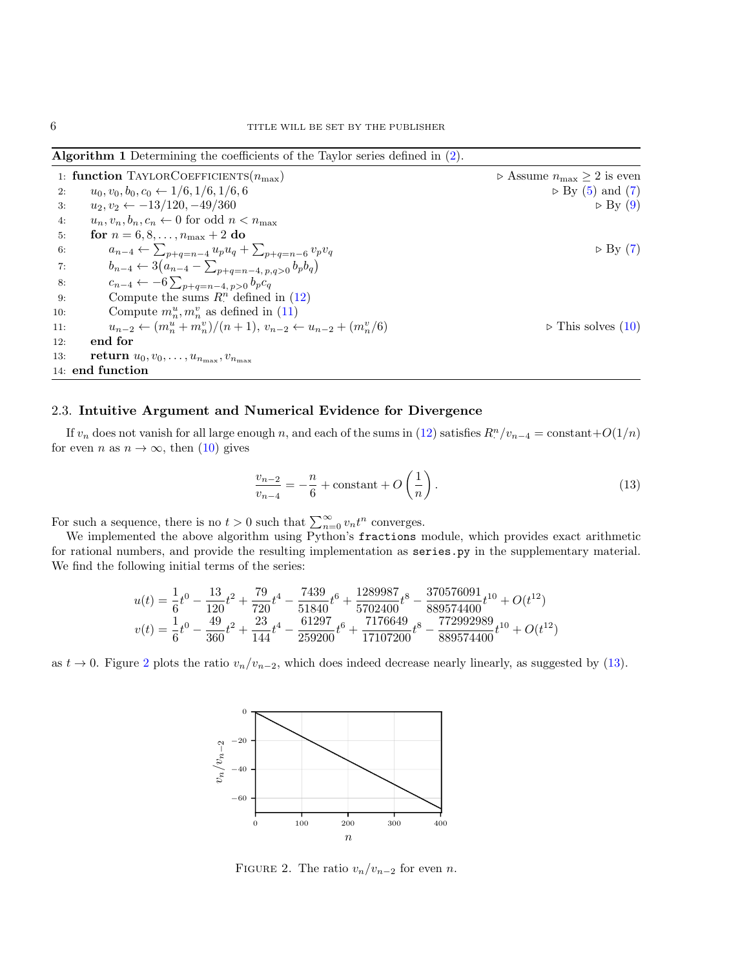<span id="page-5-1"></span>Algorithm 1 Determining the coefficients of the Taylor series defined in [\(2\)](#page-2-1).

| 1: function TAYLORCOEFFICIENTS $(n_{\text{max}})$ |                                                                                    | $\triangleright$ Assume $n_{\max} > 2$ is even |
|---------------------------------------------------|------------------------------------------------------------------------------------|------------------------------------------------|
| 2:                                                | $u_0, v_0, b_0, c_0 \leftarrow 1/6, 1/6, 1/6, 6$                                   | $\triangleright$ By (5) and (7)                |
| 3.                                                | $u_2, v_2 \leftarrow -13/120, -49/360$                                             | $\triangleright$ By (9)                        |
| 4:                                                | $u_n, v_n, b_n, c_n \leftarrow 0$ for odd $n < n_{\text{max}}$                     |                                                |
| 5:                                                | for $n = 6, 8, , n_{\text{max}} + 2$ do                                            |                                                |
| 6:                                                | $a_{n-4} \leftarrow \sum_{p+q=n-4} u_p u_q + \sum_{p+q=n-6} v_p v_q$               | $\triangleright$ By (7)                        |
| 7:                                                | $b_{n-4} \leftarrow 3(a_{n-4} - \sum_{p+q=n-4, p,q>0} b_p b_q)$                    |                                                |
| 8:                                                | $c_{n-4} \leftarrow -6 \sum_{p+q=n-4, p>0} b_p c_q$                                |                                                |
| 9:                                                | Compute the sums $R^n$ defined in (12)                                             |                                                |
| 10:                                               | Compute $m_n^u, m_n^v$ as defined in (11)                                          |                                                |
| 11:                                               | $u_{n-2} \leftarrow (m_n^u + m_n^v)/(n+1), v_{n-2} \leftarrow u_{n-2} + (m_n^v/6)$ | $\triangleright$ This solves (10)              |
| 12:                                               | end for                                                                            |                                                |
| 13:                                               | <b>return</b> $u_0, v_0, \ldots, u_{n_{\text{max}}}, v_{n_{\text{max}}}$           |                                                |
|                                                   | 14: end function                                                                   |                                                |

# 2.3. Intuitive Argument and Numerical Evidence for Divergence

If  $v_n$  does not vanish for all large enough n, and each of the sums in [\(12\)](#page-4-1) satisfies  $R^n/v_{n-4} = \text{constant} + O(1/n)$ for even *n* as  $n \to \infty$ , then [\(10\)](#page-4-3) gives

<span id="page-5-2"></span>
$$
\frac{v_{n-2}}{v_{n-4}} = -\frac{n}{6} + \text{constant} + O\left(\frac{1}{n}\right). \tag{13}
$$

For such a sequence, there is no  $t > 0$  such that  $\sum_{n=0}^{\infty} v_n t^n$  converges.

We implemented the above algorithm using Python's fractions module, which provides exact arithmetic for rational numbers, and provide the resulting implementation as series.py in the supplementary material. We find the following initial terms of the series:

$$
u(t) = \frac{1}{6}t^0 - \frac{13}{120}t^2 + \frac{79}{720}t^4 - \frac{7439}{51840}t^6 + \frac{1289987}{5702400}t^8 - \frac{370576091}{889574400}t^{10} + O(t^{12})
$$
  

$$
v(t) = \frac{1}{6}t^0 - \frac{49}{360}t^2 + \frac{23}{144}t^4 - \frac{61297}{259200}t^6 + \frac{7176649}{17107200}t^8 - \frac{772992989}{889574400}t^{10} + O(t^{12})
$$

as  $t \to 0$ . Figure [2](#page-5-0) plots the ratio  $v_n/v_{n-2}$ , which does indeed decrease nearly linearly, as suggested by [\(13\)](#page-5-2).



<span id="page-5-0"></span>FIGURE 2. The ratio  $v_n/v_{n-2}$  for even n.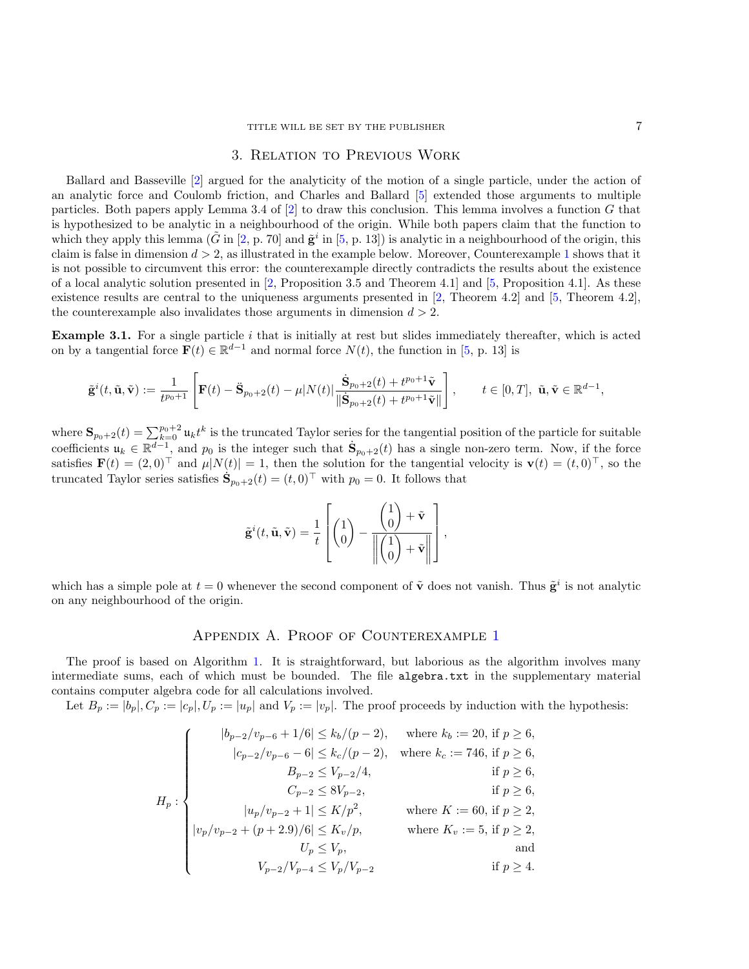## 3. Relation to Previous Work

<span id="page-6-0"></span>Ballard and Basseville [\[2\]](#page-12-7) argued for the analyticity of the motion of a single particle, under the action of an analytic force and Coulomb friction, and Charles and Ballard [\[5\]](#page-12-8) extended those arguments to multiple particles. Both papers apply Lemma 3.4 of [\[2\]](#page-12-7) to draw this conclusion. This lemma involves a function G that is hypothesized to be analytic in a neighbourhood of the origin. While both papers claim that the function to which they apply this lemma  $(\tilde{G}$  in  $[2, p. 70]$  $[2, p. 70]$  and  $\tilde{\mathbf{g}}^i$  in  $[5, p. 13]$  $[5, p. 13]$  is analytic in a neighbourhood of the origin, this claim is false in dimension  $d > 2$ , as illustrated in the example below. Moreover, Counterexample [1](#page-1-0) shows that it is not possible to circumvent this error: the counterexample directly contradicts the results about the existence of a local analytic solution presented in [\[2,](#page-12-7) Proposition 3.5 and Theorem 4.1] and [\[5,](#page-12-8) Proposition 4.1]. As these existence results are central to the uniqueness arguments presented in [\[2,](#page-12-7) Theorem 4.2] and [\[5,](#page-12-8) Theorem 4.2], the counterexample also invalidates those arguments in dimension  $d > 2$ .

**Example 3.1.** For a single particle  $i$  that is initially at rest but slides immediately thereafter, which is acted on by a tangential force  $\mathbf{F}(t) \in \mathbb{R}^{d-1}$  and normal force  $N(t)$ , the function in [\[5,](#page-12-8) p. 13] is

$$
\tilde{\mathbf{g}}^i(t, \tilde{\mathbf{u}}, \tilde{\mathbf{v}}) := \frac{1}{t^{p_0+1}} \left[ \mathbf{F}(t) - \ddot{\mathbf{S}}_{p_0+2}(t) - \mu |N(t)| \frac{\dot{\mathbf{S}}_{p_0+2}(t) + t^{p_0+1} \tilde{\mathbf{v}}}{\|\dot{\mathbf{S}}_{p_0+2}(t) + t^{p_0+1} \tilde{\mathbf{v}}\|} \right], \qquad t \in [0, T], \ \tilde{\mathbf{u}}, \tilde{\mathbf{v}} \in \mathbb{R}^{d-1},
$$

where  $\mathbf{S}_{p_0+2}(t) = \sum_{k=0}^{p_0+2} \mathfrak{u}_k t^k$  is the truncated Taylor series for the tangential position of the particle for suitable coefficients  $u_k \in \mathbb{R}^{d-1}$ , and  $p_0$  is the integer such that  $\dot{\mathbf{S}}_{p_0+2}(t)$  has a single non-zero term. Now, if the force satisfies  $\mathbf{F}(t) = (2,0)^{\top}$  and  $\mu|N(t)| = 1$ , then the solution for the tangential velocity is  $\mathbf{v}(t) = (t,0)^{\top}$ , so the truncated Taylor series satisfies  $\dot{\mathbf{S}}_{p_0+2}(t) = (t,0)^\top$  with  $p_0 = 0$ . It follows that

$$
\tilde{\mathbf{g}}^{i}(t, \tilde{\mathbf{u}}, \tilde{\mathbf{v}}) = \frac{1}{t} \left[ \begin{pmatrix} 1 \\ 0 \end{pmatrix} - \frac{\begin{pmatrix} 1 \\ 0 \end{pmatrix} + \tilde{\mathbf{v}}}{\left\| \begin{pmatrix} 1 \\ 0 \end{pmatrix} + \tilde{\mathbf{v}} \right\|} \right],
$$

which has a simple pole at  $t = 0$  whenever the second component of  $\tilde{\mathbf{v}}$  does not vanish. Thus  $\tilde{\mathbf{g}}^i$  is not analytic on any neighbourhood of the origin.

## APPENDIX A. PROOF OF COUNTEREXAMPLE [1](#page-1-0)

<span id="page-6-1"></span>The proof is based on Algorithm [1.](#page-5-1) It is straightforward, but laborious as the algorithm involves many intermediate sums, each of which must be bounded. The file algebra.txt in the supplementary material contains computer algebra code for all calculations involved.

Let  $B_p := |b_p|, C_p := |c_p|, U_p := |u_p|$  and  $V_p := |v_p|$ . The proof proceeds by induction with the hypothesis:

$$
H_p: \begin{cases} \quad |b_{p-2}/v_{p-6}+1/6| \leq k_b/(p-2), \quad \text{where } k_b:=20, \text{ if } p \geq 6, \\ \quad |c_{p-2}/v_{p-6}-6| \leq k_c/(p-2), \quad \text{where } k_c:=746, \text{ if } p \geq 6, \\ \quad B_{p-2} \leq V_{p-2}/4, \quad \text{ if } p \geq 6, \\ \quad C_{p-2} \leq 8V_{p-2}, \quad \text{ if } p \geq 6, \\ \quad |v_p/v_{p-2}+1| \leq K/p^2, \quad \text{where } K:=60, \text{ if } p \geq 2, \\ \quad |v_p/v_{p-2}+(p+2.9)/6| \leq K_v/p, \quad \text{where } K_v:=5, \text{ if } p \geq 2, \\ \quad U_p \leq V_p, \quad \text{and} \\ \quad V_{p-2}/V_{p-4} \leq V_p/V_{p-2} \quad \text{if } p \geq 4. \end{cases}
$$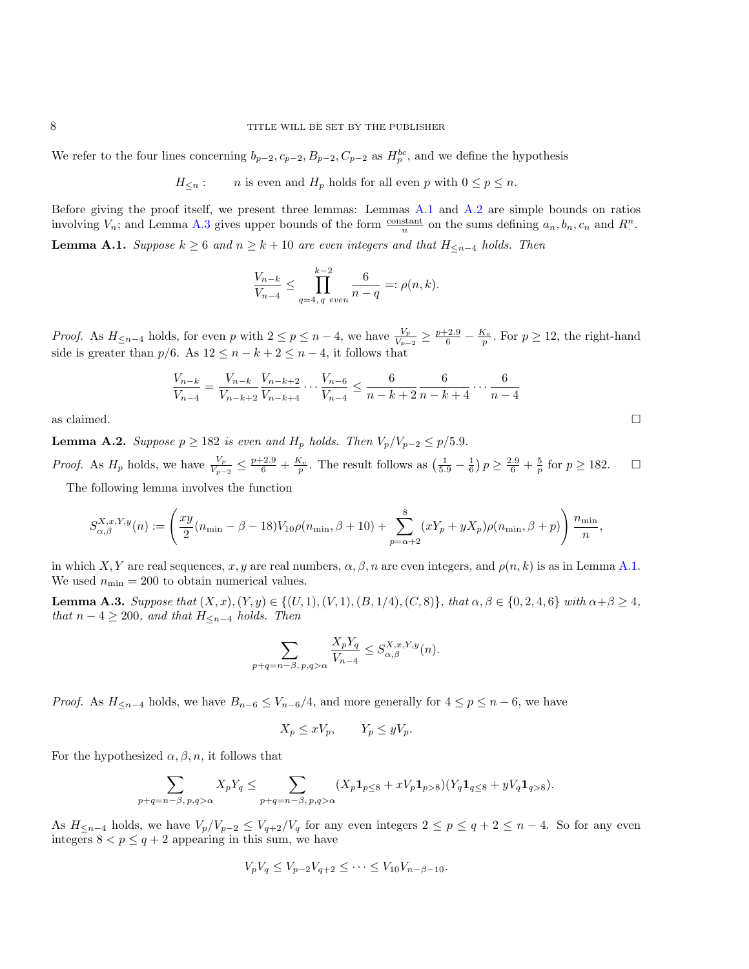We refer to the four lines concerning  $b_{p-2}, c_{p-2}, B_{p-2}, C_{p-2}$  as  $H_p^{bc}$ , and we define the hypothesis

 $H_{\leq n}$ : n is even and  $H_p$  holds for all even p with  $0 \leq p \leq n$ .

Before giving the proof itself, we present three lemmas: Lemmas [A.1](#page-7-0) and [A.2](#page-7-1) are simple bounds on ratios involving  $V_n$ ; and Lemma [A.3](#page-7-2) gives upper bounds of the form  $\frac{\text{constant}}{n}$  on the sums defining  $a_n, b_n, c_n$  and  $R^n$ .

<span id="page-7-0"></span>**Lemma A.1.** Suppose  $k \geq 6$  and  $n \geq k + 10$  are even integers and that  $H_{\leq n-4}$  holds. Then

$$
\frac{V_{n-k}}{V_{n-4}} \le \prod_{q=4, q \ even}^{k-2} \frac{6}{n-q} =: \rho(n,k).
$$

*Proof.* As  $H_{\leq n-4}$  holds, for even p with  $2 \leq p \leq n-4$ , we have  $\frac{V_p}{V_{p-2}} \geq \frac{p+2.9}{6} - \frac{K_v}{p}$ . For  $p \geq 12$ , the right-hand side is greater than  $p/6$ . As  $12 \le n - k + 2 \le n - 4$ , it follows that

$$
\frac{V_{n-k}}{V_{n-4}} = \frac{V_{n-k}}{V_{n-k+2}} \frac{V_{n-k+2}}{V_{n-k+4}} \cdots \frac{V_{n-6}}{V_{n-4}} \le \frac{6}{n-k+2} \frac{6}{n-k+4} \cdots \frac{6}{n-4}
$$

as claimed.  $\Box$ 

<span id="page-7-1"></span>**Lemma A.2.** Suppose  $p \ge 182$  is even and  $H_p$  holds. Then  $V_p/V_{p-2} \le p/5.9$ . *Proof.* As  $H_p$  holds, we have  $\frac{V_p}{V_{p-2}} \le \frac{p+2.9}{6} + \frac{K_v}{p}$ . The result follows as  $\left(\frac{1}{5.9} - \frac{1}{6}\right)p \ge \frac{2.9}{6} + \frac{5}{p}$  for  $p \ge 182$ . The following lemma involves the function

$$
S_{\alpha,\beta}^{X,x,Y,y}(n) := \left(\frac{xy}{2}(n_{\min}-\beta-18)V_{10}\rho(n_{\min},\beta+10) + \sum_{p=\alpha+2}^{8}(xY_p + yX_p)\rho(n_{\min},\beta+p)\right)
$$

in which X, Y are real sequences, x, y are real numbers,  $\alpha, \beta, n$  are even integers, and  $\rho(n, k)$  is as in Lemma [A.1.](#page-7-0) We used  $n_{\min} = 200$  to obtain numerical values.

<span id="page-7-2"></span>Lemma A.3. Suppose that  $(X, x), (Y, y) \in \{(U, 1), (V, 1), (B, 1/4), (C, 8)\}$ , that  $\alpha, \beta \in \{0, 2, 4, 6\}$  with  $\alpha + \beta \ge 4$ , that  $n-4 \geq 200$ , and that  $H_{\leq n-4}$  holds. Then

$$
\sum_{p+q=n-\beta, p,q>\alpha} \frac{X_p Y_q}{V_{n-4}} \leq S_{\alpha,\beta}^{X,x,Y,y}(n).
$$

*Proof.* As  $H_{\leq n-4}$  holds, we have  $B_{n-6} \leq V_{n-6}/4$ , and more generally for  $4 \leq p \leq n-6$ , we have

$$
X_p \le xV_p, \qquad Y_p \le yV_p.
$$

For the hypothesized  $\alpha, \beta, n$ , it follows that

$$
\sum_{p+q=n-\beta, p,q>\alpha} X_p Y_q \leq \sum_{p+q=n-\beta, p,q>\alpha} (X_p \mathbf{1}_{p\leq 8} + xV_p \mathbf{1}_{p>8}) (Y_q \mathbf{1}_{q\leq 8} + yV_q \mathbf{1}_{q>8}).
$$

As  $H_{\leq n-4}$  holds, we have  $V_p/V_{p-2} \leq V_{q+2}/V_q$  for any even integers  $2 \leq p \leq q+2 \leq n-4$ . So for any even integers  $8 < p \leq q + 2$  appearing in this sum, we have

$$
V_p V_q \leq V_{p-2} V_{q+2} \leq \cdots \leq V_{10} V_{n-\beta-10}.
$$

 $\big\}$   $n_{\min}$  $\frac{m}{n}$ ,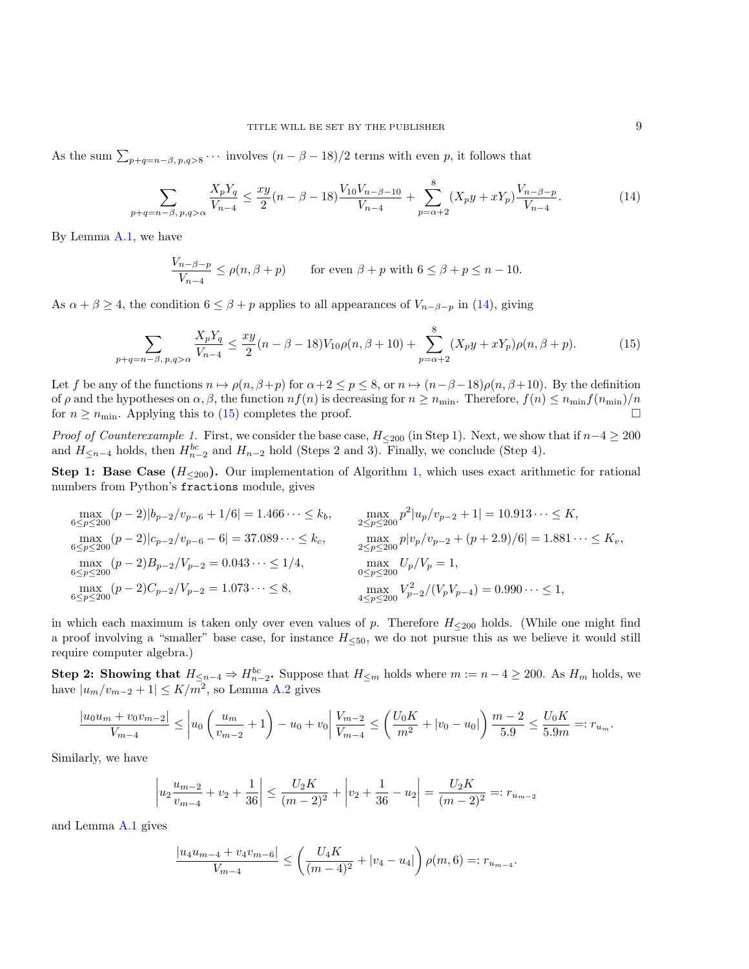As the sum  $\sum_{p+q=n-\beta, p,q>8} \cdots$  involves  $(n-\beta-18)/2$  terms with even p, it follows that

$$
\sum_{p+q=n-\beta,\,p,q>\alpha} \frac{X_p Y_q}{V_{n-4}} \le \frac{xy}{2}(n-\beta-18) \frac{V_{10} V_{n-\beta-10}}{V_{n-4}} + \sum_{p=\alpha+2}^8 (X_p y + x Y_p) \frac{V_{n-\beta-p}}{V_{n-4}}.\tag{14}
$$

By Lemma [A.1,](#page-7-0) we have

<span id="page-8-1"></span><span id="page-8-0"></span>
$$
\frac{V_{n-\beta-p}}{V_{n-4}} \le \rho(n,\beta+p) \qquad \text{for even } \beta+p \text{ with } 6 \le \beta+p \le n-10.
$$

As  $\alpha + \beta \ge 4$ , the condition  $6 \le \beta + p$  applies to all appearances of  $V_{n-\beta-p}$  in [\(14\)](#page-8-0), giving

$$
\sum_{p+q=n-\beta,\,p,q>\alpha} \frac{X_p Y_q}{V_{n-4}} \le \frac{xy}{2}(n-\beta-18)V_{10}\rho(n,\beta+10) + \sum_{p=\alpha+2}^8 (X_p y + xY_p)\rho(n,\beta+p). \tag{15}
$$

Let f be any of the functions  $n \mapsto \rho(n, \beta + p)$  for  $\alpha + 2 \le p \le 8$ , or  $n \mapsto (n - \beta - 18)\rho(n, \beta + 10)$ . By the definition of  $\rho$  and the hypotheses on  $\alpha, \beta$ , the function  $nf(n)$  is decreasing for  $n \geq n_{\min}$ . Therefore,  $f(n) \leq n_{\min}f(n_{\min})/n$ for  $n \ge n_{\min}$ . Applying this to [\(15\)](#page-8-1) completes the proof.

*Proof of Counterexample [1.](#page-1-0)* First, we consider the base case,  $H_{\leq 200}$  (in Step 1). Next, we show that if  $n-4 \geq 200$ and  $H_{\leq n-4}$  holds, then  $H_{n-2}^{bc}$  and  $H_{n-2}$  hold (Steps 2 and 3). Finally, we conclude (Step 4).

**Step 1: Base Case (** $H_{\leq 200}$ **).** Our implementation of Algorithm [1,](#page-5-1) which uses exact arithmetic for rational numbers from Python's fractions module, gives

$$
\max_{6 \le p \le 200} (p-2)|b_{p-2}/v_{p-6} + 1/6| = 1.466 \cdots \le k_b, \qquad \max_{2 \le p \le 200} p^2|u_p/v_{p-2} + 1| = 10.913 \cdots \le K,
$$
  
\n
$$
\max_{6 \le p \le 200} (p-2)|c_{p-2}/v_{p-6} - 6| = 37.089 \cdots \le k_c, \qquad \max_{2 \le p \le 200} p|v_p/v_{p-2} + (p+2.9)/6| = 1.881 \cdots \le K_v,
$$
  
\n
$$
\max_{6 \le p \le 200} (p-2)B_{p-2}/V_{p-2} = 0.043 \cdots \le 1/4, \qquad \max_{0 \le p \le 200} U_p/V_p = 1,
$$
  
\n
$$
\max_{6 \le p \le 200} (p-2)C_{p-2}/V_{p-2} = 1.073 \cdots \le 8, \qquad \max_{4 \le p \le 200} V_{p-2}^2/(V_pV_{p-4}) = 0.990 \cdots \le 1,
$$

in which each maximum is taken only over even values of p. Therefore  $H_{\leq 200}$  holds. (While one might find a proof involving a "smaller" base case, for instance  $H_{\leq 50}$ , we do not pursue this as we believe it would still require computer algebra.)

Step 2: Showing that  $H_{\leq n-4} \Rightarrow H_{n-2}^{bc}$ . Suppose that  $H_{\leq m}$  holds where  $m := n - 4 \geq 200$ . As  $H_m$  holds, we have  $|u_m/v_{m-2}+1| \leq K/m^2$ , so Lemma [A.2](#page-7-1) gives

$$
\frac{|u_0u_m + v_0v_{m-2}|}{V_{m-4}} \leq \left| u_0 \left( \frac{u_m}{v_{m-2}} + 1 \right) - u_0 + v_0 \right| \frac{V_{m-2}}{V_{m-4}} \leq \left( \frac{U_0K}{m^2} + |v_0 - u_0| \right) \frac{m-2}{5.9} \leq \frac{U_0K}{5.9m} =: r_{u_m}.
$$

Similarly, we have

$$
\left| u_2 \frac{u_{m-2}}{v_{m-4}} + v_2 + \frac{1}{36} \right| \le \frac{U_2 K}{(m-2)^2} + \left| v_2 + \frac{1}{36} - u_2 \right| = \frac{U_2 K}{(m-2)^2} =: r_{u_{m-2}}
$$

and Lemma [A.1](#page-7-0) gives

$$
\frac{|u_4u_{m-4} + v_4v_{m-6}|}{V_{m-4}} \le \left(\frac{U_4K}{(m-4)^2} + |v_4 - u_4|\right)\rho(m, 6) =: r_{u_{m-4}}.
$$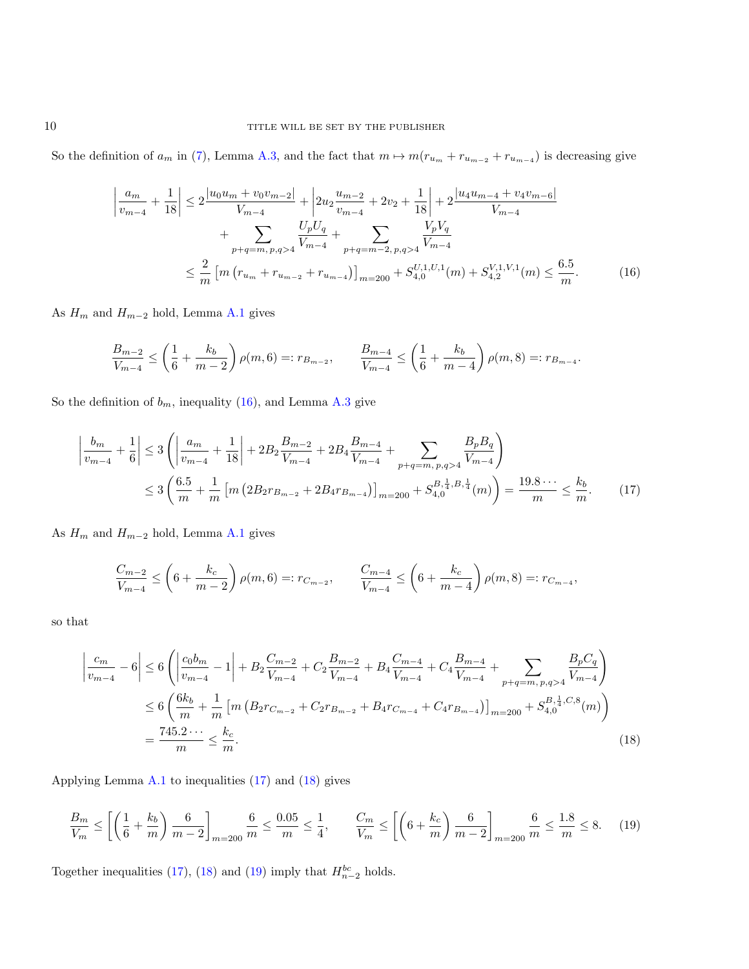So the definition of  $a_m$  in [\(7\)](#page-3-2), Lemma [A.3,](#page-7-2) and the fact that  $m \mapsto m(r_{u_m} + r_{u_{m-2}} + r_{u_{m-4}})$  is decreasing give

<span id="page-9-0"></span>
$$
\left| \frac{a_m}{v_{m-4}} + \frac{1}{18} \right| \le 2 \frac{|u_0 u_m + v_0 v_{m-2}|}{V_{m-4}} + \left| 2u_2 \frac{u_{m-2}}{v_{m-4}} + 2v_2 + \frac{1}{18} \right| + 2 \frac{|u_4 u_{m-4} + v_4 v_{m-6}|}{V_{m-4}}
$$
  
+ 
$$
\sum_{p+q=m, p, q>4} \frac{U_p U_q}{V_{m-4}} + \sum_{p+q=m-2, p, q>4} \frac{V_p V_q}{V_{m-4}}
$$
  

$$
\le \frac{2}{m} \left[ m \left( r_{u_m} + r_{u_{m-2}} + r_{u_{m-4}} \right) \right]_{m=200} + S_{4,0}^{U,1,U,1}(m) + S_{4,2}^{V,1,V,1}(m) \le \frac{6.5}{m}.
$$
 (16)

As  $H_m$  and  $H_{m-2}$  hold, Lemma [A.1](#page-7-0) gives

$$
\frac{B_{m-2}}{V_{m-4}} \le \left(\frac{1}{6} + \frac{k_b}{m-2}\right) \rho(m, 6) =: r_{B_{m-2}}, \qquad \frac{B_{m-4}}{V_{m-4}} \le \left(\frac{1}{6} + \frac{k_b}{m-4}\right) \rho(m, 8) =: r_{B_{m-4}}.
$$

So the definition of  $b_m$ , inequality [\(16\)](#page-9-0), and Lemma [A.3](#page-7-2) give

$$
\frac{b_m}{v_{m-4}} + \frac{1}{6} \le 3 \left( \left| \frac{a_m}{v_{m-4}} + \frac{1}{18} \right| + 2B_2 \frac{B_{m-2}}{V_{m-4}} + 2B_4 \frac{B_{m-4}}{V_{m-4}} + \sum_{p+q=m, p, q>4} \frac{B_p B_q}{V_{m-4}} \right)
$$
  

$$
\le 3 \left( \frac{6.5}{m} + \frac{1}{m} \left[ m \left( 2B_2 r_{B_{m-2}} + 2B_4 r_{B_{m-4}} \right) \right]_{m=200} + S_{4,0}^{B, \frac{1}{4}, B, \frac{1}{4}}(m) \right) = \frac{19.8 \cdots}{m} \le \frac{k_b}{m}.
$$
 (17)

As  $H_m$  and  $H_{m-2}$  hold, Lemma [A.1](#page-7-0) gives

<span id="page-9-2"></span><span id="page-9-1"></span>
$$
\frac{C_{m-2}}{V_{m-4}} \le \left(6 + \frac{k_c}{m-2}\right) \rho(m, 6) =: r_{C_{m-2}}, \qquad \frac{C_{m-4}}{V_{m-4}} \le \left(6 + \frac{k_c}{m-4}\right) \rho(m, 8) =: r_{C_{m-4}},
$$

so that

 $\overline{\phantom{a}}$  $\overline{\phantom{a}}$  $\overline{\phantom{a}}$  $\mid$ 

$$
\left| \frac{c_m}{v_{m-4}} - 6 \right| \le 6 \left( \left| \frac{c_0 b_m}{v_{m-4}} - 1 \right| + B_2 \frac{C_{m-2}}{V_{m-4}} + C_2 \frac{B_{m-2}}{V_{m-4}} + B_4 \frac{C_{m-4}}{V_{m-4}} + C_4 \frac{B_{m-4}}{V_{m-4}} + \sum_{p+q=m, p, q>4} \frac{B_p C_q}{V_{m-4}} \right)
$$
  
\n
$$
\le 6 \left( \frac{6k_b}{m} + \frac{1}{m} \left[ m \left( B_2 r_{C_{m-2}} + C_2 r_{B_{m-2}} + B_4 r_{C_{m-4}} + C_4 r_{B_{m-4}} \right) \right]_{m=200} + S_{4,0}^{B, \frac{1}{4}, C, 8}(m) \right)
$$
  
\n
$$
= \frac{745.2 \cdots}{m} \le \frac{k_c}{m}.
$$
 (18)

Applying Lemma [A.1](#page-7-0) to inequalities [\(17\)](#page-9-1) and [\(18\)](#page-9-2) gives

<span id="page-9-3"></span>
$$
\frac{B_m}{V_m} \le \left[ \left( \frac{1}{6} + \frac{k_b}{m} \right) \frac{6}{m - 2} \right]_{m = 200} \frac{6}{m} \le \frac{0.05}{m} \le \frac{1}{4}, \qquad \frac{C_m}{V_m} \le \left[ \left( 6 + \frac{k_c}{m} \right) \frac{6}{m - 2} \right]_{m = 200} \frac{6}{m} \le \frac{1.8}{m} \le 8. \tag{19}
$$

Together inequalities [\(17\)](#page-9-1), [\(18\)](#page-9-2) and [\(19\)](#page-9-3) imply that  $H_{n-2}^{bc}$  holds.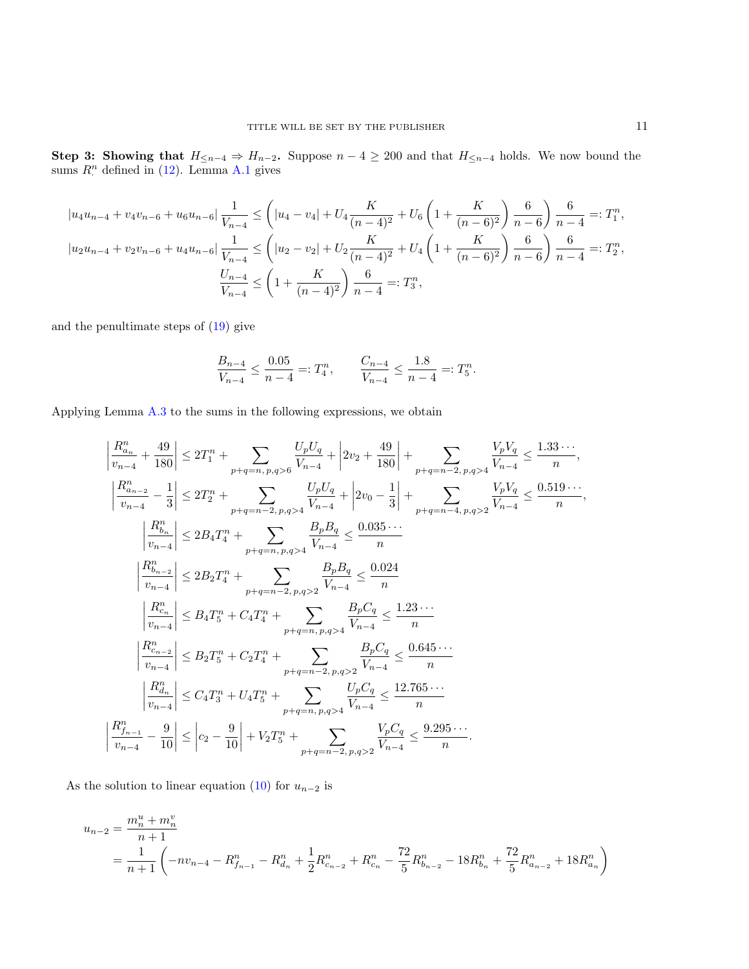Step 3: Showing that  $H_{\leq n-4} \Rightarrow H_{n-2}$ . Suppose  $n-4 \geq 200$  and that  $H_{\leq n-4}$  holds. We now bound the sums  $R^n$  defined in [\(12\)](#page-4-1). Lemma [A.1](#page-7-0) gives

$$
|u_4u_{n-4} + v_4v_{n-6} + u_6u_{n-6}| \frac{1}{V_{n-4}} \leq \left( |u_4 - v_4| + U_4 \frac{K}{(n-4)^2} + U_6 \left( 1 + \frac{K}{(n-6)^2} \right) \frac{6}{n-6} \right) \frac{6}{n-4} =: T_1^n,
$$
  

$$
|u_2u_{n-4} + v_2v_{n-6} + u_4u_{n-6}| \frac{1}{V_{n-4}} \leq \left( |u_2 - v_2| + U_2 \frac{K}{(n-4)^2} + U_4 \left( 1 + \frac{K}{(n-6)^2} \right) \frac{6}{n-6} \right) \frac{6}{n-4} =: T_2^n,
$$
  

$$
\frac{U_{n-4}}{V_{n-4}} \leq \left( 1 + \frac{K}{(n-4)^2} \right) \frac{6}{n-4} =: T_3^n,
$$

and the penultimate steps of [\(19\)](#page-9-3) give

$$
\frac{B_{n-4}}{V_{n-4}} \le \frac{0.05}{n-4} =: T_4^n, \qquad \frac{C_{n-4}}{V_{n-4}} \le \frac{1.8}{n-4} =: T_5^n.
$$

Applying Lemma [A.3](#page-7-2) to the sums in the following expressions, we obtain

$$
\begin{split} \left|\frac{R_{n_{n}}^{n}}{v_{n-4}}+\frac{49}{180}\right|&\leq 2T_{1}^{n}+\sum_{p+q=n,\,p,q>6}\frac{U_{p}U_{q}}{V_{n-4}}+\left|2v_{2}+\frac{49}{180}\right|+\sum_{p+q=n-2,\,p,q>4}\frac{V_{p}V_{q}}{V_{n-4}}\leq\frac{1.33\cdots}{n},\\ \left|\frac{R_{n_{n-2}}^{n}}{v_{n-4}}-\frac{1}{3}\right|\leq 2T_{2}^{n}+\sum_{p+q=n-2,\,p,q>4}\frac{U_{p}U_{q}}{V_{n-4}}+\left|2v_{0}-\frac{1}{3}\right|+\sum_{p+q=n-4,\,p,q>2}\frac{V_{p}V_{q}}{V_{n-4}}\leq\frac{0.519\cdots}{n},\\ \left|\frac{R_{b_{n}}^{n}}{v_{n-4}}\right|\leq 2B_{4}T_{4}^{n}+\sum_{p+q=n,\,p,q>4}\frac{B_{p}B_{q}}{V_{n-4}}\leq\frac{0.035\cdots}{n}\\ \left|\frac{R_{n_{n-2}}^{n}}{v_{n-4}}\right|\leq 2B_{2}T_{4}^{n}+\sum_{p+q=n-2,\,p,q>2}\frac{B_{p}B_{q}}{V_{n-4}}\leq\frac{0.024}{n}\\ \left|\frac{R_{n_{n}}^{n}}{v_{n-4}}\right|\leq B_{4}T_{5}^{n}+C_{4}T_{4}^{n}+\sum_{p+q=n,\,p,q>4}\frac{B_{p}C_{q}}{V_{n-4}}\leq\frac{1.23\cdots}{n}\\ \left|\frac{R_{n_{n-2}}^{n}}{v_{n-4}}\right|\leq B_{2}T_{5}^{n}+C_{2}T_{4}^{n}+\sum_{p+q=n-2,\,p,q>2}\frac{B_{p}C_{q}}{V_{n-4}}\leq\frac{0.645\cdots}{n}\\ \left|\frac{R_{m_{n}}^{n}}{v_{n-4}}\right|\leq C_{4}T_{3}^{n}+U_{4}T_{5}^{n}+\sum_{p+q=n,\,p,q>4}\frac{U_{p}C_{q}}{V_{n-4}}\leq\frac{12.765
$$

As the solution to linear equation [\(10\)](#page-4-3) for  $u_{n-2}$  is

$$
u_{n-2} = \frac{m_n^u + m_n^v}{n+1}
$$
  
=  $\frac{1}{n+1} \left( -nv_{n-4} - R_{f_{n-1}}^n - R_{d_n}^n + \frac{1}{2}R_{c_{n-2}}^n + R_{c_n}^n - \frac{72}{5}R_{b_{n-2}}^n - 18R_{b_n}^n + \frac{72}{5}R_{a_{n-2}}^n + 18R_{a_n}^n \right)$ 

,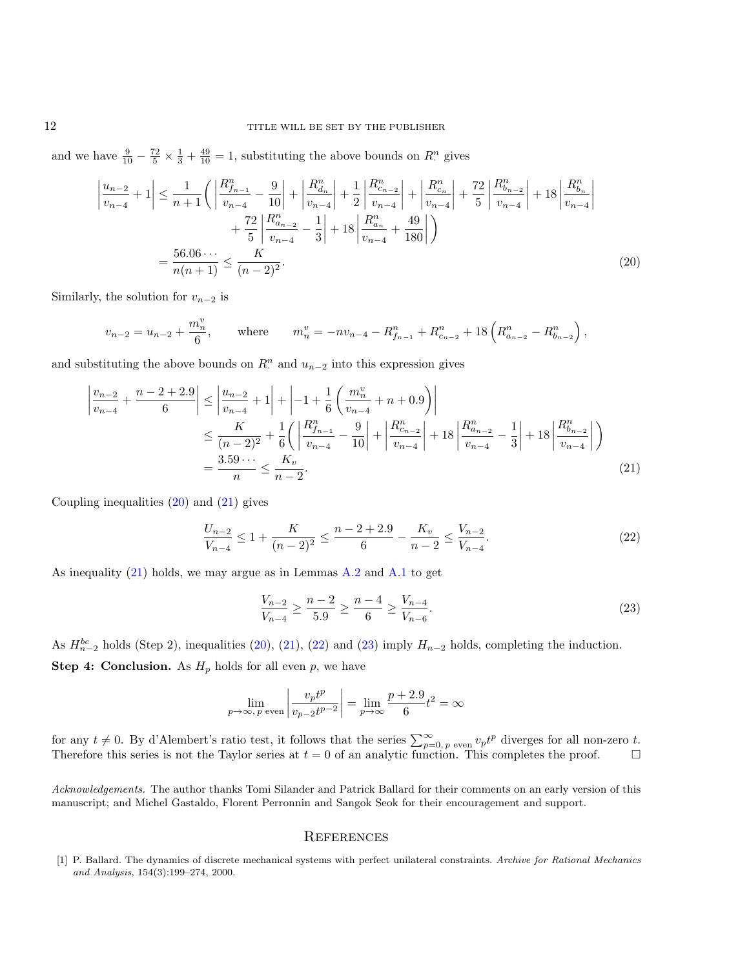and we have  $\frac{9}{10} - \frac{72}{5} \times \frac{1}{3} + \frac{49}{10} = 1$ , substituting the above bounds on  $R^n$  gives

$$
\left| \frac{u_{n-2}}{v_{n-4}} + 1 \right| \le \frac{1}{n+1} \left( \left| \frac{R_{f_{n-1}}^n}{v_{n-4}} - \frac{9}{10} \right| + \left| \frac{R_{d_n}^n}{v_{n-4}} \right| + \frac{1}{2} \left| \frac{R_{c_{n-2}}^n}{v_{n-4}} \right| + \left| \frac{R_{c_n}^n}{v_{n-4}} \right| + \frac{72}{5} \left| \frac{R_{b_{n-2}}^n}{v_{n-4}} \right| + 18 \left| \frac{R_{d_n}^n}{v_{n-4}} - \frac{1}{3} \right| + 18 \left| \frac{R_{a_{n}}^n}{v_{n-4}} + \frac{49}{180} \right| \right)
$$
  
= 
$$
\frac{56.06 \cdots}{n(n+1)} \le \frac{K}{(n-2)^2}.
$$
 (20)

Similarly, the solution for  $v_{n-2}$  is

$$
v_{n-2} = u_{n-2} + \frac{m_n^v}{6}, \qquad \text{where} \qquad m_n^v = -nv_{n-4} - R_{f_{n-1}}^n + R_{c_{n-2}}^n + 18\left(R_{a_{n-2}}^n - R_{b_{n-2}}^n\right),
$$

and substituting the above bounds on  $R^n$  and  $u_{n-2}$  into this expression gives

$$
\left| \frac{v_{n-2}}{v_{n-4}} + \frac{n-2+2.9}{6} \right| \le \left| \frac{u_{n-2}}{v_{n-4}} + 1 \right| + \left| -1 + \frac{1}{6} \left( \frac{m_n^v}{v_{n-4}} + n + 0.9 \right) \right|
$$
  

$$
\le \frac{K}{(n-2)^2} + \frac{1}{6} \left( \left| \frac{R_{f_{n-1}}^n}{v_{n-4}} - \frac{9}{10} \right| + \left| \frac{R_{c_{n-2}}^n}{v_{n-4}} \right| + 18 \left| \frac{R_{a_{n-2}}^n}{v_{n-4}} - \frac{1}{3} \right| + 18 \left| \frac{R_{b_{n-2}}^n}{v_{n-4}} \right| \right)
$$
  

$$
= \frac{3.59 \cdots}{n} \le \frac{K_v}{n-2}.
$$
 (21)

Coupling inequalities  $(20)$  and  $(21)$  gives

<span id="page-11-1"></span>
$$
\frac{U_{n-2}}{V_{n-4}} \le 1 + \frac{K}{(n-2)^2} \le \frac{n-2+2.9}{6} - \frac{K_v}{n-2} \le \frac{V_{n-2}}{V_{n-4}}.\tag{22}
$$

As inequality [\(21\)](#page-11-2) holds, we may argue as in Lemmas [A.2](#page-7-1) and [A.1](#page-7-0) to get

<span id="page-11-4"></span><span id="page-11-3"></span><span id="page-11-2"></span>
$$
\frac{V_{n-2}}{V_{n-4}} \ge \frac{n-2}{5.9} \ge \frac{n-4}{6} \ge \frac{V_{n-4}}{V_{n-6}}.\tag{23}
$$

As  $H_{n-2}^{bc}$  holds (Step 2), inequalities [\(20\)](#page-11-1), [\(21\)](#page-11-2), [\(22\)](#page-11-3) and [\(23\)](#page-11-4) imply  $H_{n-2}$  holds, completing the induction.

**Step 4: Conclusion.** As  $H_p$  holds for all even p, we have

$$
\lim_{p \to \infty, p \text{ even}} \left| \frac{v_p t^p}{v_{p-2} t^{p-2}} \right| = \lim_{p \to \infty} \frac{p+2.9}{6} t^2 = \infty
$$

for any  $t \neq 0$ . By d'Alembert's ratio test, it follows that the series  $\sum_{p=0, p \text{ even}}^{\infty} v_p t^p$  diverges for all non-zero t. Therefore this series is not the Taylor series at  $t = 0$  of an analytic function. This completes the proof.  $\square$ 

Acknowledgements. The author thanks Tomi Silander and Patrick Ballard for their comments on an early version of this manuscript; and Michel Gastaldo, Florent Perronnin and Sangok Seok for their encouragement and support.

## **REFERENCES**

<span id="page-11-0"></span>[1] P. Ballard. The dynamics of discrete mechanical systems with perfect unilateral constraints. Archive for Rational Mechanics and Analysis, 154(3):199–274, 2000.